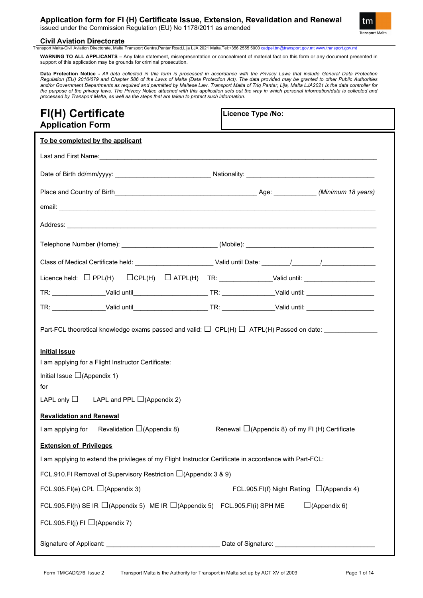issued under the Commission Regulation (EU) No 1178/2011 as amended



### **Civil Aviation Directorate**<br> **Transport Malta-Civil Aviation Directorate. Malta**

lta Transport Centre,Pantar Road,Lija LJA 2021 Malta.Tel:+356 2555 5000 <u>[cadpel.tm@transport.gov.mt](mailto:cadpel.tm@transport.gov.mt) www.transport.gov.m</u>t

**WARNING TO ALL APPLICANTS** – Any false statement, misrepresentation or concealment of material fact on this form or any document presented in support of this application may be grounds for criminal prosecution.

**Data Protection Notice -** *All data collected in this form is processed in accordance with the Privacy Laws that include General Data Protection Regulation (EU) 2016/679 and Chapter 586 of the Laws of Malta (Data Protection Act). The data provided may be granted to other Public Authorities and/or Government Departments as required and permitted by Maltese Law. Transport Malta of Triq Pantar, Lija, Malta LJA2021 is the data controller for the purpose of the privacy laws. The Privacy Notice attached with this application sets out the way in which personal information/data is collected and processed by Transport Malta, as well as the steps that are taken to protect such information.*

| <b>FI(H) Certificate</b><br>Licence Type /No:<br><b>Application Form</b>                                                                     |                                                |                     |  |  |  |
|----------------------------------------------------------------------------------------------------------------------------------------------|------------------------------------------------|---------------------|--|--|--|
| To be completed by the applicant                                                                                                             |                                                |                     |  |  |  |
|                                                                                                                                              |                                                |                     |  |  |  |
|                                                                                                                                              |                                                |                     |  |  |  |
|                                                                                                                                              |                                                |                     |  |  |  |
|                                                                                                                                              |                                                |                     |  |  |  |
|                                                                                                                                              |                                                |                     |  |  |  |
|                                                                                                                                              |                                                |                     |  |  |  |
|                                                                                                                                              |                                                |                     |  |  |  |
|                                                                                                                                              |                                                |                     |  |  |  |
|                                                                                                                                              |                                                |                     |  |  |  |
|                                                                                                                                              |                                                |                     |  |  |  |
| Part-FCL theoretical knowledge exams passed and valid: $\Box$ CPL(H) $\Box$ ATPL(H) Passed on date: ________________<br><b>Initial Issue</b> |                                                |                     |  |  |  |
| I am applying for a Flight Instructor Certificate:                                                                                           |                                                |                     |  |  |  |
| Initial Issue $\square$ (Appendix 1)<br>for                                                                                                  |                                                |                     |  |  |  |
| LAPL only $\Box$ LAPL and PPL $\Box$ (Appendix 2)                                                                                            |                                                |                     |  |  |  |
| <b>Revalidation and Renewal</b>                                                                                                              |                                                |                     |  |  |  |
| Revalidation $\Box$ (Appendix 8)<br>I am applying for                                                                                        | Renewal □(Appendix 8) of my FI (H) Certificate |                     |  |  |  |
| <b>Extension of Privileges</b>                                                                                                               |                                                |                     |  |  |  |
| I am applying to extend the privileges of my Flight Instructor Certificate in accordance with Part-FCL:                                      |                                                |                     |  |  |  |
| FCL.910.FI Removal of Supervisory Restriction $\Box$ (Appendix 3 & 9)                                                                        |                                                |                     |  |  |  |
| FCL.905.FI(e) CPL $\Box$ (Appendix 3)                                                                                                        | FCL.905.FI(f) Night Rating $\Box$ (Appendix 4) |                     |  |  |  |
| FCL.905.FI(h) SE IR $\Box$ (Appendix 5) ME IR $\Box$ (Appendix 5) FCL.905.FI(i) SPH ME                                                       |                                                | $\Box$ (Appendix 6) |  |  |  |
| FCL.905.FI(j) FI $\Box$ (Appendix 7)                                                                                                         |                                                |                     |  |  |  |
|                                                                                                                                              |                                                |                     |  |  |  |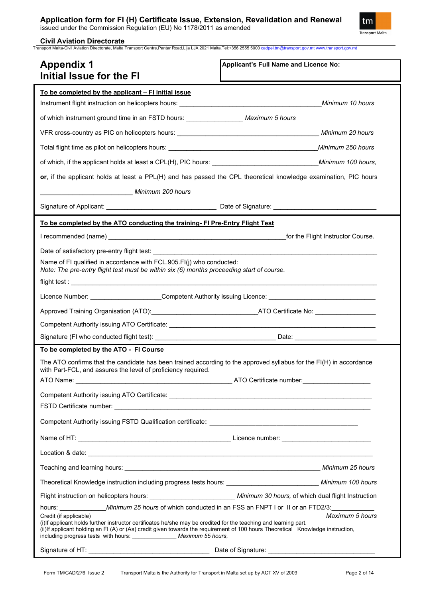issued under the Commission Regulation (EU) No 1178/2011 as amended



#### **Civil Aviation Directorate**

Transport Malta-Civil Aviation Directorate, Malta Transport Centre,Pantar Road,Lija LJA 2021 Malta.Tel:+356 2555 5000 [cadpel.tm@transport.gov.mt](mailto:cadpel.tm@transport.gov.mt) [www.transport.gov.mt](http://www.transport.gov.mt/)

| <b>Appendix 1</b><br><b>Initial Issue for the FI</b>                                                                                                                                                                                                                                                                                                                          | Applicant's Full Name and Licence No: |  |  |
|-------------------------------------------------------------------------------------------------------------------------------------------------------------------------------------------------------------------------------------------------------------------------------------------------------------------------------------------------------------------------------|---------------------------------------|--|--|
| <u>To be completed by the applicant – FI initial issue</u>                                                                                                                                                                                                                                                                                                                    |                                       |  |  |
|                                                                                                                                                                                                                                                                                                                                                                               |                                       |  |  |
| of which instrument ground time in an FSTD hours: ___________________ Maximum 5 hours                                                                                                                                                                                                                                                                                         |                                       |  |  |
|                                                                                                                                                                                                                                                                                                                                                                               |                                       |  |  |
|                                                                                                                                                                                                                                                                                                                                                                               |                                       |  |  |
|                                                                                                                                                                                                                                                                                                                                                                               |                                       |  |  |
| or, if the applicant holds at least a PPL(H) and has passed the CPL theoretical knowledge examination, PIC hours                                                                                                                                                                                                                                                              |                                       |  |  |
| Minimum 200 hours                                                                                                                                                                                                                                                                                                                                                             |                                       |  |  |
|                                                                                                                                                                                                                                                                                                                                                                               |                                       |  |  |
| To be completed by the ATO conducting the training- FI Pre-Entry Flight Test                                                                                                                                                                                                                                                                                                  |                                       |  |  |
|                                                                                                                                                                                                                                                                                                                                                                               |                                       |  |  |
|                                                                                                                                                                                                                                                                                                                                                                               |                                       |  |  |
| Name of FI qualified in accordance with FCL.905.FI(j) who conducted:<br>Note: The pre-entry flight test must be within six (6) months proceeding start of course.                                                                                                                                                                                                             |                                       |  |  |
|                                                                                                                                                                                                                                                                                                                                                                               |                                       |  |  |
| Licence Number: Competent Authority issuing Licence: Competent Authority issuing Licence:                                                                                                                                                                                                                                                                                     |                                       |  |  |
|                                                                                                                                                                                                                                                                                                                                                                               |                                       |  |  |
|                                                                                                                                                                                                                                                                                                                                                                               |                                       |  |  |
|                                                                                                                                                                                                                                                                                                                                                                               |                                       |  |  |
| To be completed by the ATO - FI Course                                                                                                                                                                                                                                                                                                                                        |                                       |  |  |
| The ATO confirms that the candidate has been trained according to the approved syllabus for the $FI(H)$ in accordance<br>with Part-FCL, and assures the level of proficiency required.                                                                                                                                                                                        |                                       |  |  |
| ATO Name:                                                                                                                                                                                                                                                                                                                                                                     |                                       |  |  |
|                                                                                                                                                                                                                                                                                                                                                                               |                                       |  |  |
|                                                                                                                                                                                                                                                                                                                                                                               |                                       |  |  |
|                                                                                                                                                                                                                                                                                                                                                                               |                                       |  |  |
|                                                                                                                                                                                                                                                                                                                                                                               |                                       |  |  |
|                                                                                                                                                                                                                                                                                                                                                                               |                                       |  |  |
| Theoretical Knowledge instruction including progress tests hours: _______________________________ Minimum 100 hours                                                                                                                                                                                                                                                           |                                       |  |  |
| Flight instruction on helicopters hours: ________________________________ Minimum 30 hours, of which dual flight Instruction                                                                                                                                                                                                                                                  |                                       |  |  |
| Maximum 5 hours<br>Credit (if applicable)<br>(i) If applicant holds further instructor certificates he/she may be credited for the teaching and learning part.<br>(ii) If applicant holding an FI (A) or (As) credit given towards the requirement of 100 hours Theoretical Knowledge instruction,<br>including progress tests with hours: ________________ Maximum 55 hours, |                                       |  |  |
|                                                                                                                                                                                                                                                                                                                                                                               |                                       |  |  |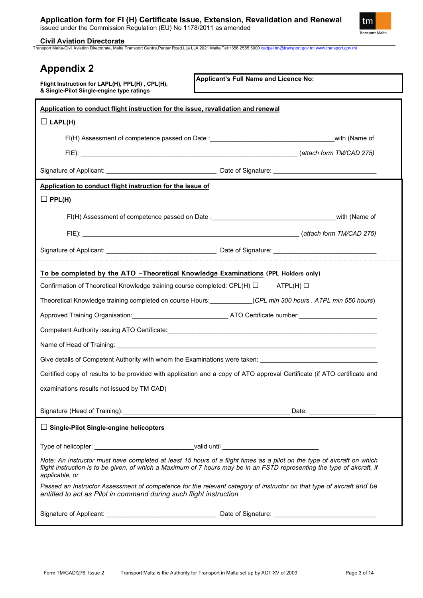

**Civil Aviation Directorate**

Transport Malta-Civil Aviation Directorate, Malta Transport Centre,Pantar Road,Lija LJA 2021 Malta.Tel:+356 2555 5000 [cadpel.tm@transport.gov.mt](mailto:cadpel.tm@transport.gov.mt) [www.transport.gov.mt](http://www.transport.gov.mt/)

| <b>Appendix 2</b>                                                                                                                                                                                                                                                     |                                                                                                                          |  |  |  |  |
|-----------------------------------------------------------------------------------------------------------------------------------------------------------------------------------------------------------------------------------------------------------------------|--------------------------------------------------------------------------------------------------------------------------|--|--|--|--|
| Flight Instruction for LAPL(H), PPL(H), CPL(H),<br>& Single-Pilot Single-engine type ratings                                                                                                                                                                          | Applicant's Full Name and Licence No:                                                                                    |  |  |  |  |
|                                                                                                                                                                                                                                                                       |                                                                                                                          |  |  |  |  |
| Application to conduct flight instruction for the issue, revalidation and renewal<br>$\Box$ LAPL(H)                                                                                                                                                                   |                                                                                                                          |  |  |  |  |
|                                                                                                                                                                                                                                                                       |                                                                                                                          |  |  |  |  |
|                                                                                                                                                                                                                                                                       |                                                                                                                          |  |  |  |  |
|                                                                                                                                                                                                                                                                       |                                                                                                                          |  |  |  |  |
|                                                                                                                                                                                                                                                                       |                                                                                                                          |  |  |  |  |
| Application to conduct flight instruction for the issue of                                                                                                                                                                                                            |                                                                                                                          |  |  |  |  |
| $\Box$ PPL(H)                                                                                                                                                                                                                                                         |                                                                                                                          |  |  |  |  |
|                                                                                                                                                                                                                                                                       |                                                                                                                          |  |  |  |  |
|                                                                                                                                                                                                                                                                       |                                                                                                                          |  |  |  |  |
| ____________________________                                                                                                                                                                                                                                          |                                                                                                                          |  |  |  |  |
| To be completed by the ATO -Theoretical Knowledge Examinations (PPL Holders only)                                                                                                                                                                                     |                                                                                                                          |  |  |  |  |
| Confirmation of Theoretical Knowledge training course completed: CPL(H) $\Box$ ATPL(H) $\Box$                                                                                                                                                                         |                                                                                                                          |  |  |  |  |
|                                                                                                                                                                                                                                                                       | Theoretical Knowledge training completed on course Hours: ____________(CPL min 300 hours . ATPL min 550 hours)           |  |  |  |  |
|                                                                                                                                                                                                                                                                       |                                                                                                                          |  |  |  |  |
|                                                                                                                                                                                                                                                                       |                                                                                                                          |  |  |  |  |
|                                                                                                                                                                                                                                                                       |                                                                                                                          |  |  |  |  |
|                                                                                                                                                                                                                                                                       | Give details of Competent Authority with whom the Examinations were taken: ___________________________________           |  |  |  |  |
|                                                                                                                                                                                                                                                                       | Certified copy of results to be provided with application and a copy of ATO approval Certificate (if ATO certificate and |  |  |  |  |
| examinations results not issued by TM CAD)                                                                                                                                                                                                                            |                                                                                                                          |  |  |  |  |
|                                                                                                                                                                                                                                                                       |                                                                                                                          |  |  |  |  |
|                                                                                                                                                                                                                                                                       |                                                                                                                          |  |  |  |  |
| $\Box$ Single-Pilot Single-engine helicopters                                                                                                                                                                                                                         |                                                                                                                          |  |  |  |  |
| Type of helicopter: __________________________________valid until _________________________________                                                                                                                                                                   |                                                                                                                          |  |  |  |  |
| Note: An instructor must have completed at least 15 hours of a flight times as a pilot on the type of aircraft on which<br>flight instruction is to be given, of which a Maximum of 7 hours may be in an FSTD representing the type of aircraft, if<br>applicable, or |                                                                                                                          |  |  |  |  |
| entitled to act as Pilot in command during such flight instruction                                                                                                                                                                                                    | Passed an Instructor Assessment of competence for the relevant category of instructor on that type of aircraft and be    |  |  |  |  |
|                                                                                                                                                                                                                                                                       |                                                                                                                          |  |  |  |  |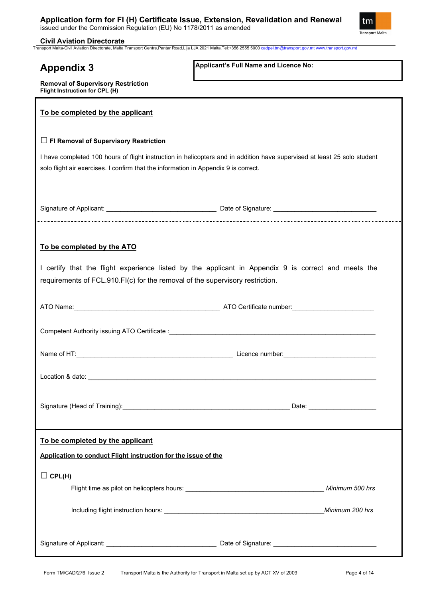

**Civil Aviation Directorate**

**Flight Instruction for CPL (H)**

**Removal of Supervisory Restriction**

Transport Malta-Civil Aviation Directorate, Malta Transport Centre,Pantar Road,Lija LJA 2021 Malta.Tel:+356 2555 5000 [cadpel.tm@transport.gov.mt](mailto:cadpel.tm@transport.gov.mt) [www.transport.gov.mt](http://www.transport.gov.mt/)

### **Appendix 3**

**Applicant's Full Name and Licence No:**

| To be completed by the applicant                                                                                                                                                                                |                              |  |  |  |
|-----------------------------------------------------------------------------------------------------------------------------------------------------------------------------------------------------------------|------------------------------|--|--|--|
| $\Box$ FI Removal of Supervisory Restriction                                                                                                                                                                    |                              |  |  |  |
| I have completed 100 hours of flight instruction in helicopters and in addition have supervised at least 25 solo student<br>solo flight air exercises. I confirm that the information in Appendix 9 is correct. |                              |  |  |  |
|                                                                                                                                                                                                                 |                              |  |  |  |
| To be completed by the ATO                                                                                                                                                                                      |                              |  |  |  |
| I certify that the flight experience listed by the applicant in Appendix 9 is correct and meets the<br>requirements of FCL.910.FI(c) for the removal of the supervisory restriction.                            |                              |  |  |  |
|                                                                                                                                                                                                                 |                              |  |  |  |
|                                                                                                                                                                                                                 |                              |  |  |  |
|                                                                                                                                                                                                                 |                              |  |  |  |
|                                                                                                                                                                                                                 |                              |  |  |  |
|                                                                                                                                                                                                                 | Date: ______________________ |  |  |  |
| To be completed by the applicant                                                                                                                                                                                |                              |  |  |  |
| Application to conduct Flight instruction for the issue of the                                                                                                                                                  |                              |  |  |  |
| $\Box$ CPL(H)                                                                                                                                                                                                   |                              |  |  |  |
|                                                                                                                                                                                                                 | Minimum 500 hrs              |  |  |  |
|                                                                                                                                                                                                                 | Minimum 200 hrs              |  |  |  |
|                                                                                                                                                                                                                 |                              |  |  |  |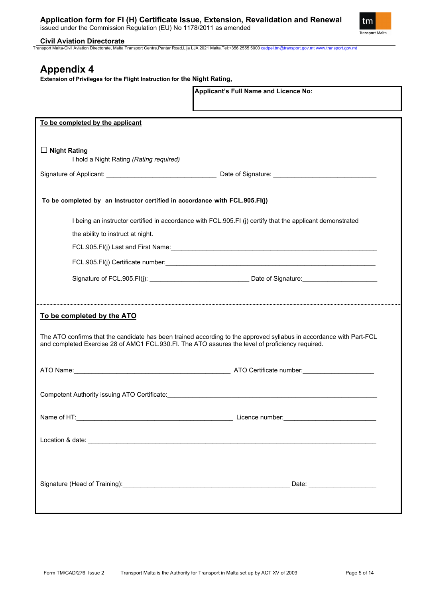

#### **Civil Aviation Directorate**

Transport Malta-Civil Aviation Directorate, Malta Transport Centre,Pantar Road,Lija LJA 2021 Malta.Tel:+356 2555 5000 [cadpel.tm@transport.gov.mt](mailto:cadpel.tm@transport.gov.mt) [www.transport.gov.mt](http://www.transport.gov.mt/)

### **Appendix 4**

**Extension of Privileges for the Flight Instruction for the Night Rating,** 

|                                                                                                                                                                                                                         | Applicant's Full Name and Licence No:                                                                     |  |  |  |  |
|-------------------------------------------------------------------------------------------------------------------------------------------------------------------------------------------------------------------------|-----------------------------------------------------------------------------------------------------------|--|--|--|--|
| To be completed by the applicant                                                                                                                                                                                        |                                                                                                           |  |  |  |  |
| $\Box$ Night Rating<br>I hold a Night Rating (Rating required)                                                                                                                                                          |                                                                                                           |  |  |  |  |
|                                                                                                                                                                                                                         |                                                                                                           |  |  |  |  |
| To be completed by an Instructor certified in accordance with FCL.905.FI(j)                                                                                                                                             |                                                                                                           |  |  |  |  |
| the ability to instruct at night.                                                                                                                                                                                       | I being an instructor certified in accordance with FCL.905.FI (j) certify that the applicant demonstrated |  |  |  |  |
|                                                                                                                                                                                                                         |                                                                                                           |  |  |  |  |
|                                                                                                                                                                                                                         |                                                                                                           |  |  |  |  |
|                                                                                                                                                                                                                         |                                                                                                           |  |  |  |  |
| To be completed by the ATO                                                                                                                                                                                              |                                                                                                           |  |  |  |  |
| The ATO confirms that the candidate has been trained according to the approved syllabus in accordance with Part-FCL<br>and completed Exercise 28 of AMC1 FCL.930.FI. The ATO assures the level of proficiency required. |                                                                                                           |  |  |  |  |
|                                                                                                                                                                                                                         |                                                                                                           |  |  |  |  |
| Competent Authority issuing ATO Certificate: <b>Authority Competent Authority issuing</b>                                                                                                                               |                                                                                                           |  |  |  |  |
|                                                                                                                                                                                                                         |                                                                                                           |  |  |  |  |
|                                                                                                                                                                                                                         |                                                                                                           |  |  |  |  |
|                                                                                                                                                                                                                         |                                                                                                           |  |  |  |  |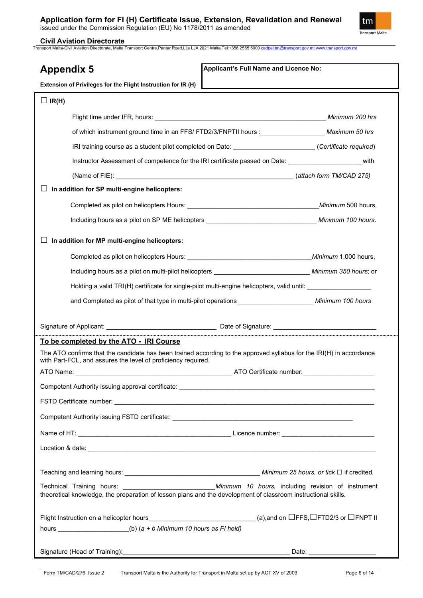

#### **Civil Aviation Directorate**

Transport Malta-Civil Aviation Directorate, Malta Transport Centre,Pantar Road,Lija LJA 2021 Malta.Tel:+356 2555 5000 [cadpel.tm@transport.gov.mt](mailto:cadpel.tm@transport.gov.mt) [www.transport.gov.mt](http://www.transport.gov.mt/)

| Applicant's Full Name and Licence No:<br><b>Appendix 5</b>                                                                                                      |                                                                                                             |  |  |  |
|-----------------------------------------------------------------------------------------------------------------------------------------------------------------|-------------------------------------------------------------------------------------------------------------|--|--|--|
| Extension of Privileges for the Flight Instruction for IR (H)                                                                                                   |                                                                                                             |  |  |  |
| $\Box$ IR(H)                                                                                                                                                    |                                                                                                             |  |  |  |
|                                                                                                                                                                 |                                                                                                             |  |  |  |
|                                                                                                                                                                 | of which instrument ground time in an FFS/ FTD2/3/FNPTII hours : ____________________ Maximum 50 hrs        |  |  |  |
|                                                                                                                                                                 | IRI training course as a student pilot completed on Date: ______________________(Certificate required)      |  |  |  |
|                                                                                                                                                                 | with<br>Instructor Assessment of competence for the IRI certificate passed on Date:                         |  |  |  |
|                                                                                                                                                                 |                                                                                                             |  |  |  |
| In addition for SP multi-engine helicopters:                                                                                                                    |                                                                                                             |  |  |  |
|                                                                                                                                                                 |                                                                                                             |  |  |  |
|                                                                                                                                                                 | Including hours as a pilot on SP ME helicopters _________________________________ Minimum 100 hours.        |  |  |  |
| In addition for MP multi-engine helicopters:                                                                                                                    |                                                                                                             |  |  |  |
|                                                                                                                                                                 |                                                                                                             |  |  |  |
|                                                                                                                                                                 | Including hours as a pilot on multi-pilot helicopters _______________________________ Minimum 350 hours; or |  |  |  |
|                                                                                                                                                                 | Holding a valid TRI(H) certificate for single-pilot multi-engine helicopters, valid until:                  |  |  |  |
|                                                                                                                                                                 | and Completed as pilot of that type in multi-pilot operations _______________________ Minimum 100 hours     |  |  |  |
|                                                                                                                                                                 |                                                                                                             |  |  |  |
|                                                                                                                                                                 |                                                                                                             |  |  |  |
| To be completed by the ATO - IRI Course<br>The ATO confirms that the candidate has been trained according to the approved syllabus for the IRI(H) in accordance |                                                                                                             |  |  |  |
| with Part-FCL, and assures the level of proficiency required.                                                                                                   |                                                                                                             |  |  |  |
|                                                                                                                                                                 |                                                                                                             |  |  |  |
|                                                                                                                                                                 |                                                                                                             |  |  |  |
|                                                                                                                                                                 |                                                                                                             |  |  |  |
|                                                                                                                                                                 |                                                                                                             |  |  |  |
|                                                                                                                                                                 |                                                                                                             |  |  |  |
|                                                                                                                                                                 |                                                                                                             |  |  |  |
|                                                                                                                                                                 |                                                                                                             |  |  |  |
| theoretical knowledge, the preparation of lesson plans and the development of classroom instructional skills.                                                   |                                                                                                             |  |  |  |
|                                                                                                                                                                 |                                                                                                             |  |  |  |
| hours $(b)$ (a + b Minimum 10 hours as FI held)                                                                                                                 |                                                                                                             |  |  |  |
|                                                                                                                                                                 | Date: _______________________                                                                               |  |  |  |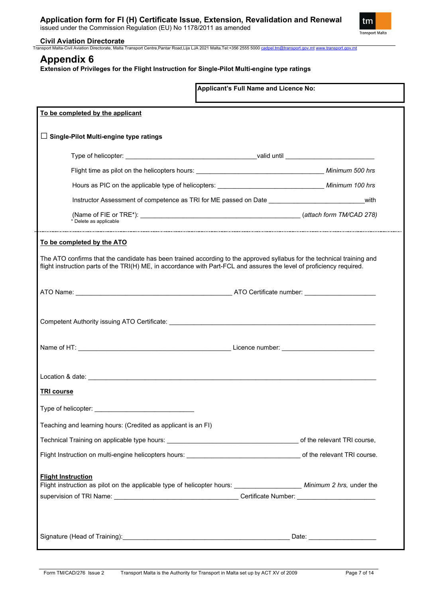

#### **Civil Aviation Directorate**

Transport Malta-Civil Aviation Directorate, Malta Transport Centre,Pantar Road,Lija LJA 2021 Malta.Tel:+356 2555 5000 [cadpel.tm@transport.gov.mt](mailto:cadpel.tm@transport.gov.mt) [www.transport.gov.mt](http://www.transport.gov.mt/)

### **Appendix 6**

**Extension of Privileges for the Flight Instruction for Single-Pilot Multi-engine type ratings**

| Applicant's Full Name and Licence No:                                                                                                                                                                                                           |
|-------------------------------------------------------------------------------------------------------------------------------------------------------------------------------------------------------------------------------------------------|
| To be completed by the applicant                                                                                                                                                                                                                |
| $\Box$ Single-Pilot Multi-engine type ratings                                                                                                                                                                                                   |
|                                                                                                                                                                                                                                                 |
|                                                                                                                                                                                                                                                 |
|                                                                                                                                                                                                                                                 |
| Instructor Assessment of competence as TRI for ME passed on Date _______________________________with                                                                                                                                            |
| * Delete as applicable                                                                                                                                                                                                                          |
| To be completed by the ATO                                                                                                                                                                                                                      |
| The ATO confirms that the candidate has been trained according to the approved syllabus for the technical training and<br>flight instruction parts of the TRI(H) ME, in accordance with Part-FCL and assures the level of proficiency required. |
|                                                                                                                                                                                                                                                 |
|                                                                                                                                                                                                                                                 |
|                                                                                                                                                                                                                                                 |
|                                                                                                                                                                                                                                                 |
|                                                                                                                                                                                                                                                 |
| <b>TRI course</b>                                                                                                                                                                                                                               |
| Type of helicopter: ___________________________________                                                                                                                                                                                         |
| Teaching and learning hours: (Credited as applicant is an FI)                                                                                                                                                                                   |
|                                                                                                                                                                                                                                                 |
|                                                                                                                                                                                                                                                 |
| <b>Flight Instruction</b>                                                                                                                                                                                                                       |
|                                                                                                                                                                                                                                                 |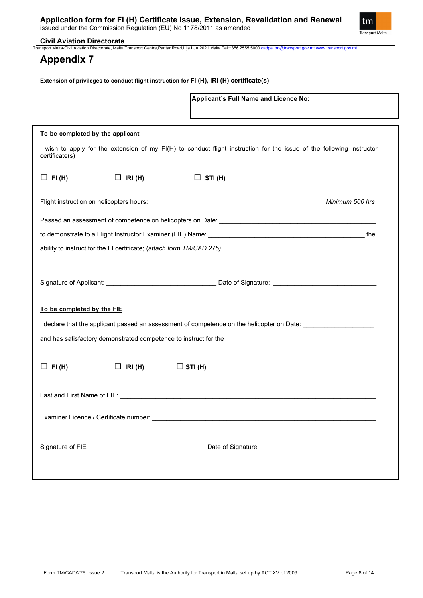

# **Civil Aviation Directorate**<br>Transport Malta-Civil Aviation Directorate, Malta 1

nn Directorate, Malta Transport Centre,Pantar Road,Lija LJA 2021 Malta.Tel:+356 2555 5000 <u>[cadpel.tm@transport.gov.mt](mailto:cadpel.tm@transport.gov.mt) [www.transport.gov.mt](http://www.transport.gov.mt/)</u>

### **Appendix 7**

**Extension of privileges to conduct flight instruction for FI (H), IRI (H) certificate(s)**

|                                                                      |                | Applicant's Full Name and Licence No:                                                                                 |  |  |
|----------------------------------------------------------------------|----------------|-----------------------------------------------------------------------------------------------------------------------|--|--|
|                                                                      |                |                                                                                                                       |  |  |
| To be completed by the applicant                                     |                |                                                                                                                       |  |  |
| certificate(s)                                                       |                | I wish to apply for the extension of my FI(H) to conduct flight instruction for the issue of the following instructor |  |  |
| $\Box$ FI(H)                                                         | $\Box$ IRI(H)  | $\Box$ STI(H)                                                                                                         |  |  |
|                                                                      |                |                                                                                                                       |  |  |
|                                                                      |                |                                                                                                                       |  |  |
|                                                                      |                |                                                                                                                       |  |  |
| ability to instruct for the FI certificate; (attach form TM/CAD 275) |                |                                                                                                                       |  |  |
|                                                                      |                |                                                                                                                       |  |  |
|                                                                      |                |                                                                                                                       |  |  |
| To be completed by the FIE                                           |                |                                                                                                                       |  |  |
|                                                                      |                | I declare that the applicant passed an assessment of competence on the helicopter on Date: we were also well as       |  |  |
|                                                                      |                |                                                                                                                       |  |  |
| and has satisfactory demonstrated competence to instruct for the     |                |                                                                                                                       |  |  |
| FI(H)                                                                | $\Box$ IRI (H) | $\Box$ STI (H)                                                                                                        |  |  |
|                                                                      |                |                                                                                                                       |  |  |
|                                                                      |                |                                                                                                                       |  |  |
|                                                                      |                |                                                                                                                       |  |  |
|                                                                      |                |                                                                                                                       |  |  |
|                                                                      |                |                                                                                                                       |  |  |
|                                                                      |                |                                                                                                                       |  |  |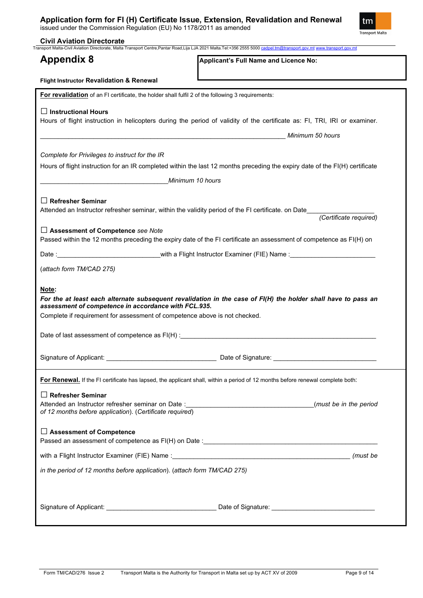issued under the Commission Regulation (EU) No 1178/2011 as amended



|                                                                                                      | Applicant's Full Name and Licence No:                                                                                          |
|------------------------------------------------------------------------------------------------------|--------------------------------------------------------------------------------------------------------------------------------|
| Flight Instructor Revalidation & Renewal                                                             |                                                                                                                                |
| For revalidation of an FI certificate, the holder shall fulfil 2 of the following 3 requirements:    |                                                                                                                                |
| $\Box$ Instructional Hours                                                                           |                                                                                                                                |
|                                                                                                      | Hours of flight instruction in helicopters during the period of validity of the certificate as: FI, TRI, IRI or examiner.      |
|                                                                                                      | Minimum 50 hours                                                                                                               |
|                                                                                                      |                                                                                                                                |
| Complete for Privileges to instruct for the IR                                                       | Hours of flight instruction for an IR completed within the last 12 months preceding the expiry date of the FI(H) certificate   |
|                                                                                                      |                                                                                                                                |
|                                                                                                      | Minimum 10 hours                                                                                                               |
| $\Box$ Refresher Seminar                                                                             |                                                                                                                                |
| Attended an Instructor refresher seminar, within the validity period of the FI certificate. on Date_ | (Certificate required)                                                                                                         |
| $\Box$ Assessment of Competence see Note                                                             |                                                                                                                                |
|                                                                                                      | Passed within the 12 months preceding the expiry date of the FI certificate an assessment of competence as FI(H) on            |
|                                                                                                      |                                                                                                                                |
| (attach form TM/CAD 275)                                                                             |                                                                                                                                |
|                                                                                                      |                                                                                                                                |
|                                                                                                      |                                                                                                                                |
| Note:                                                                                                |                                                                                                                                |
| assessment of competence in accordance with FCL.935.                                                 | For the at least each alternate subsequent revalidation in the case of FI(H) the holder shall have to pass an                  |
| Complete if requirement for assessment of competence above is not checked.                           |                                                                                                                                |
|                                                                                                      |                                                                                                                                |
| Date of last assessment of competence as FI(H) : Date of last assessment of competence as FI(H) :    |                                                                                                                                |
|                                                                                                      |                                                                                                                                |
|                                                                                                      |                                                                                                                                |
|                                                                                                      | For Renewal. If the FI certificate has lapsed, the applicant shall, within a period of 12 months before renewal complete both: |
| $\Box$ Refresher Seminar                                                                             |                                                                                                                                |
|                                                                                                      | (must be in the period                                                                                                         |
| of 12 months before application). (Certificate required)                                             |                                                                                                                                |
| $\Box$ Assessment of Competence                                                                      |                                                                                                                                |
|                                                                                                      |                                                                                                                                |
|                                                                                                      | (must be                                                                                                                       |
| in the period of 12 months before application). (attach form TM/CAD 275)                             |                                                                                                                                |
|                                                                                                      |                                                                                                                                |
|                                                                                                      |                                                                                                                                |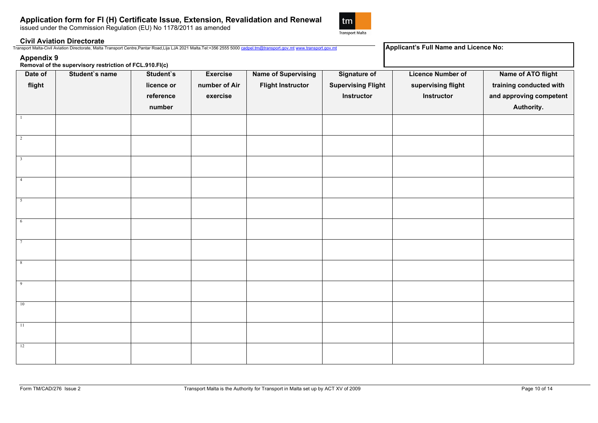issued under the Commission Regulation (EU) No 1178/2011 as amended



#### **Civil Aviation Directorate**

| $+356.$<br>M<br>Malt<br>Transno.<br>∵anort Centre…<br>n E E<br>- Pantar بے<br>.<br>・フロンプ<br>ROAD LIE<br>ector<br><b>IFANSDON</b><br>AVIAIIO | Licence Noː<br>Full Name<br><b>I Annlicant</b><br>and |
|---------------------------------------------------------------------------------------------------------------------------------------------|-------------------------------------------------------|
|                                                                                                                                             |                                                       |
|                                                                                                                                             |                                                       |

**Appendix 9 Removal of the supervisory restriction of FCL.910.FI(c)**

| Date of                   | <b>Removal of the supervisory restriction of FUL.510.FI(C)</b><br>Student's name | Student's  | <b>Exercise</b> | <b>Name of Supervising</b> | <b>Signature of</b>       | <b>Licence Number of</b> | Name of ATO flight      |
|---------------------------|----------------------------------------------------------------------------------|------------|-----------------|----------------------------|---------------------------|--------------------------|-------------------------|
| flight                    |                                                                                  | licence or | number of Air   | <b>Flight Instructor</b>   | <b>Supervising Flight</b> | supervising flight       | training conducted with |
|                           |                                                                                  | reference  | exercise        |                            | Instructor                | Instructor               | and approving competent |
|                           |                                                                                  | number     |                 |                            |                           |                          | Authority.              |
|                           |                                                                                  |            |                 |                            |                           |                          |                         |
|                           |                                                                                  |            |                 |                            |                           |                          |                         |
| $\overline{2}$            |                                                                                  |            |                 |                            |                           |                          |                         |
| $\overline{\phantom{a}3}$ |                                                                                  |            |                 |                            |                           |                          |                         |
|                           |                                                                                  |            |                 |                            |                           |                          |                         |
| $\overline{4}$            |                                                                                  |            |                 |                            |                           |                          |                         |
|                           |                                                                                  |            |                 |                            |                           |                          |                         |
| 5                         |                                                                                  |            |                 |                            |                           |                          |                         |
|                           |                                                                                  |            |                 |                            |                           |                          |                         |
| $6\phantom{.}6$           |                                                                                  |            |                 |                            |                           |                          |                         |
| $7\phantom{.0}$           |                                                                                  |            |                 |                            |                           |                          |                         |
|                           |                                                                                  |            |                 |                            |                           |                          |                         |
| 8                         |                                                                                  |            |                 |                            |                           |                          |                         |
|                           |                                                                                  |            |                 |                            |                           |                          |                         |
| $\overline{9}$            |                                                                                  |            |                 |                            |                           |                          |                         |
|                           |                                                                                  |            |                 |                            |                           |                          |                         |
| 10                        |                                                                                  |            |                 |                            |                           |                          |                         |
| $-11$                     |                                                                                  |            |                 |                            |                           |                          |                         |
|                           |                                                                                  |            |                 |                            |                           |                          |                         |
| 12                        |                                                                                  |            |                 |                            |                           |                          |                         |
|                           |                                                                                  |            |                 |                            |                           |                          |                         |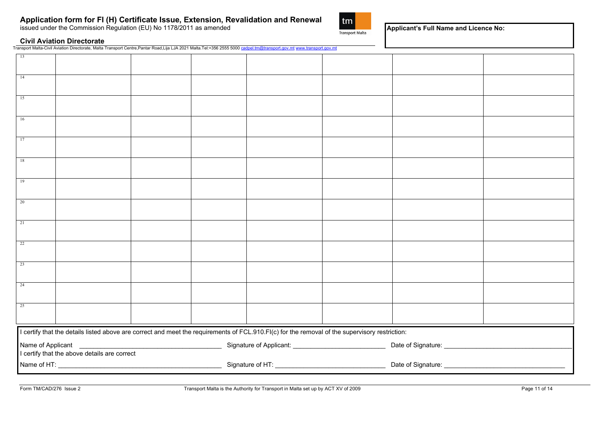issued under the Commission Regulation (EU) No 1178/2011 as amended



**Applicant's Full Name and Licence No:**

#### **Civil Aviation Directorate**

Transport Malta-Civil Aviation Directorate, Malta Transport Centre,Pantar Road,Lija LJA 2021 Malta.Tel:+356 2555 5000 [cadpel.tm@transport.gov.mt](mailto:cadpel.tm@transport.gov.mt) [www.transport.gov.mt](http://www.transport.gov.mt/)

| 13                                           |                                                                                                                                                |  |  |  |  |  |  |  |  |
|----------------------------------------------|------------------------------------------------------------------------------------------------------------------------------------------------|--|--|--|--|--|--|--|--|
| 14                                           |                                                                                                                                                |  |  |  |  |  |  |  |  |
| 15                                           |                                                                                                                                                |  |  |  |  |  |  |  |  |
| 16                                           |                                                                                                                                                |  |  |  |  |  |  |  |  |
| 17                                           |                                                                                                                                                |  |  |  |  |  |  |  |  |
| 18                                           |                                                                                                                                                |  |  |  |  |  |  |  |  |
| 19                                           |                                                                                                                                                |  |  |  |  |  |  |  |  |
| 20                                           |                                                                                                                                                |  |  |  |  |  |  |  |  |
| 21                                           |                                                                                                                                                |  |  |  |  |  |  |  |  |
| 22                                           |                                                                                                                                                |  |  |  |  |  |  |  |  |
| 23                                           |                                                                                                                                                |  |  |  |  |  |  |  |  |
| 24                                           |                                                                                                                                                |  |  |  |  |  |  |  |  |
| 25                                           |                                                                                                                                                |  |  |  |  |  |  |  |  |
|                                              | I certify that the details listed above are correct and meet the requirements of FCL.910.FI(c) for the removal of the supervisory restriction: |  |  |  |  |  |  |  |  |
| I certify that the above details are correct |                                                                                                                                                |  |  |  |  |  |  |  |  |
|                                              |                                                                                                                                                |  |  |  |  |  |  |  |  |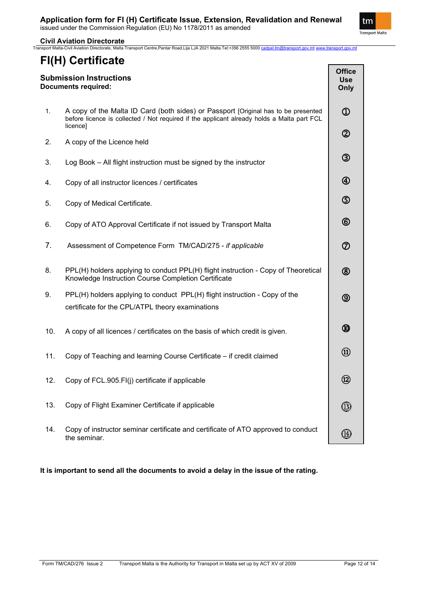

**Civil Aviation Directorate**Transport Malta-Civil Aviation Directorate, Malta Transport Centre,Pantar Road,Lija LJA 2021 Malta.Tel:+356 2555 5000 [cadpel.tm@transport.gov.mt](mailto:cadpel.tm@transport.gov.mt) [www.transport.gov.mt](http://www.transport.gov.mt/)

## **FI(H) Certificate**

| <b>Submission Instructions</b><br><b>Documents required:</b> |                                                                                                                                                                                              |                                     |  |  |  |
|--------------------------------------------------------------|----------------------------------------------------------------------------------------------------------------------------------------------------------------------------------------------|-------------------------------------|--|--|--|
| 1.                                                           | A copy of the Malta ID Card (both sides) or Passport [Original has to be presented<br>before licence is collected / Not required if the applicant already holds a Malta part FCL<br>licence] | $^{\circledR}$                      |  |  |  |
| 2.                                                           | A copy of the Licence held                                                                                                                                                                   | $^\copyright$                       |  |  |  |
| 3.                                                           | Log Book - All flight instruction must be signed by the instructor                                                                                                                           | $^\circledR$                        |  |  |  |
| 4.                                                           | Copy of all instructor licences / certificates                                                                                                                                               | $^{\circledR}$                      |  |  |  |
| 5.                                                           | Copy of Medical Certificate.                                                                                                                                                                 | $\circledS$                         |  |  |  |
| 6.                                                           | Copy of ATO Approval Certificate if not issued by Transport Malta                                                                                                                            | $^{\circledR}$                      |  |  |  |
| 7.                                                           | Assessment of Competence Form TM/CAD/275 - if applicable                                                                                                                                     | $^\circledR$                        |  |  |  |
| 8.                                                           | PPL(H) holders applying to conduct PPL(H) flight instruction - Copy of Theoretical<br>Knowledge Instruction Course Completion Certificate                                                    | $^{\circledR}$                      |  |  |  |
| 9.                                                           | PPL(H) holders applying to conduct PPL(H) flight instruction - Copy of the<br>certificate for the CPL/ATPL theory examinations                                                               | $^\circledR$                        |  |  |  |
| 10.                                                          | A copy of all licences / certificates on the basis of which credit is given.                                                                                                                 | $^\circledR$                        |  |  |  |
| 11.                                                          | Copy of Teaching and learning Course Certificate - if credit claimed                                                                                                                         | $^{\textcircled{\footnotesize{1}}}$ |  |  |  |
| 12.                                                          | Copy of FCL.905.FI(j) certificate if applicable                                                                                                                                              | $\circled{2}$                       |  |  |  |
| 13.                                                          | Copy of Flight Examiner Certificate if applicable                                                                                                                                            |                                     |  |  |  |
| 14.                                                          | Copy of instructor seminar certificate and certificate of ATO approved to conduct<br>the seminar.                                                                                            | ⅏                                   |  |  |  |

**It is important to send all the documents to avoid a delay in the issue of the rating.**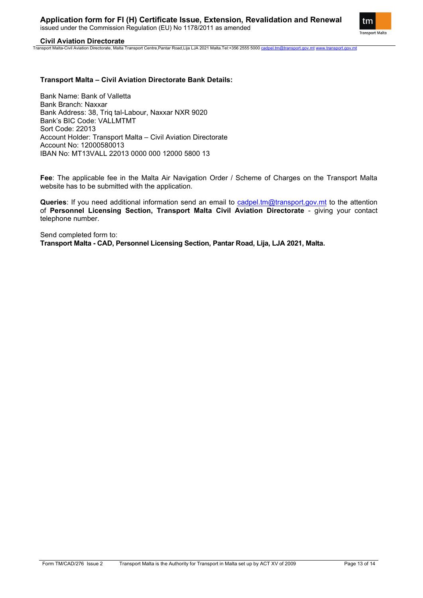tm **Transport Malta** 

#### **Civil Aviation Directorate**

Transport Malta-Civil Aviation Directorate, Malta Transport Centre,Pantar Road,Lija LJA 2021 Malta.Tel:+356 2555 5000 [cadpel.tm@transport.gov.mt](mailto:cadpel.tm@transport.gov.mt) [www.transport.gov.mt](http://www.transport.gov.mt/)

#### **Transport Malta – Civil Aviation Directorate Bank Details:**

Bank Name: Bank of Valletta Bank Branch: Naxxar Bank Address: 38, Triq tal-Labour, Naxxar NXR 9020 Bank's BIC Code: VALLMTMT Sort Code: 22013 Account Holder: Transport Malta – Civil Aviation Directorate Account No: 12000580013 IBAN No: MT13VALL 22013 0000 000 12000 5800 13

**Fee**: The applicable fee in the Malta Air Navigation Order / Scheme of Charges on the Transport Malta website has to be submitted with the application.

**Queries**: If you need additional information send an email to [cadpel.tm@transport.gov.mt](mailto:cadpel.tm@transport.gov.mt) to the attention of **Personnel Licensing Section, Transport Malta Civil Aviation Directorate** - giving your contact telephone number.

Send completed form to: **Transport Malta - CAD, Personnel Licensing Section, Pantar Road, Lija, LJA 2021, Malta.**